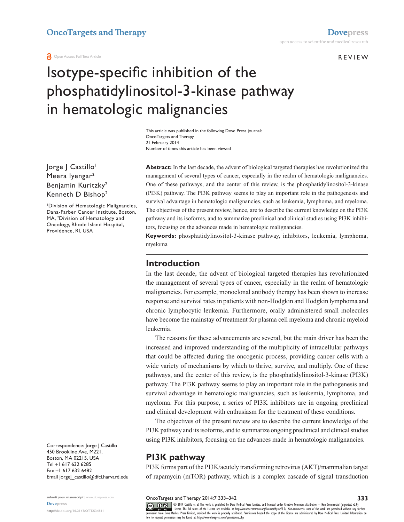#### Review

**333**

# Isotype-specific inhibition of the phosphatidylinositol-3-kinase pathway in hematologic malignancies

Number of times this article has been viewed This article was published in the following Dove Press journal: OncoTargets and Therapy 21 February 2014

Jorge | Castillo<sup>1</sup> Meera Iyengar<sup>2</sup> Benjamin Kuritzky2 Kenneth D Bishop2

1 Division of Hematologic Malignancies, Dana-Farber Cancer Institute, Boston, MA, <sup>2</sup> Division of Hematology and Oncology, Rhode Island Hospital, Providence, RI, USA

Correspondence: Jorge J Castillo 450 Brookline Ave, M221, Boston, MA 02215, USA Tel +1 617 632 6285 Fax +1 617 632 6482 Email [jorgej\\_castillo@dfci.harvard.ed](mailto:jorgej_castillo@dfci.harvard.edu)u

**<http://dx.doi.org/10.2147/OTT.S34641>**

**Abstract:** In the last decade, the advent of biological targeted therapies has revolutionized the management of several types of cancer, especially in the realm of hematologic malignancies. One of these pathways, and the center of this review, is the phosphatidylinositol-3-kinase (PI3K) pathway. The PI3K pathway seems to play an important role in the pathogenesis and survival advantage in hematologic malignancies, such as leukemia, lymphoma, and myeloma. The objectives of the present review, hence, are to describe the current knowledge on the PI3K pathway and its isoforms, and to summarize preclinical and clinical studies using PI3K inhibitors, focusing on the advances made in hematologic malignancies.

**Keywords:** phosphatidylinositol-3-kinase pathway, inhibitors, leukemia, lymphoma, myeloma

#### **Introduction**

In the last decade, the advent of biological targeted therapies has revolutionized the management of several types of cancer, especially in the realm of hematologic malignancies. For example, monoclonal antibody therapy has been shown to increase response and survival rates in patients with non-Hodgkin and Hodgkin lymphoma and chronic lymphocytic leukemia. Furthermore, orally administered small molecules have become the mainstay of treatment for plasma cell myeloma and chronic myeloid leukemia.

The reasons for these advancements are several, but the main driver has been the increased and improved understanding of the multiplicity of intracellular pathways that could be affected during the oncogenic process, providing cancer cells with a wide variety of mechanisms by which to thrive, survive, and multiply. One of these pathways, and the center of this review, is the phosphatidylinositol-3-kinase (PI3K) pathway. The PI3K pathway seems to play an important role in the pathogenesis and survival advantage in hematologic malignancies, such as leukemia, lymphoma, and myeloma. For this purpose, a series of PI3K inhibitors are in ongoing preclinical and clinical development with enthusiasm for the treatment of these conditions.

The objectives of the present review are to describe the current knowledge of the PI3K pathway and its isoforms, and to summarize ongoing preclinical and clinical studies using PI3K inhibitors, focusing on the advances made in hematologic malignancies.

#### **PI3K pathway**

PI3K forms part of the PI3K/acutely transforming retrovirus (AKT)/mammalian target of rapamycin (mTOR) pathway, which is a complex cascade of signal transduction

OncoTargets and Therapy 2014:7 333–342

CO ODI4 Castillo et al. This work is published by Dove Medical Press Limited, and licensed under Creative Commons Attribution - Non Commercial (unported, v3.0)<br> [permission from Dove M](http://www.dovepress.com/permissions.php)edical Press Limited, provided the work how to request permission may be found at: http://www.dovepress.com/permissions.php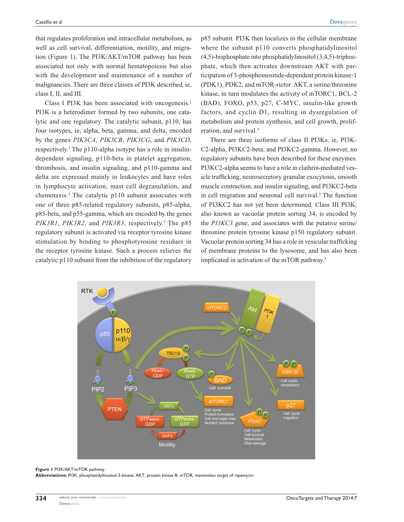that regulates proliferation and intracellular metabolism, as well as cell survival, differentiation, motility, and migration (Figure 1). The PI3K/AKT/mTOR pathway has been associated not only with normal hematopoiesis but also with the development and maintenance of a number of malignancies. There are three classes of PI3K described, ie, class I, II, and III.

Class I PI3K has been associated with oncogenesis.1 PI3K is a heterodimer formed by two subunits, one catalytic and one regulatory. The catalytic subunit, p110, has four isotypes, ie, alpha, beta, gamma, and delta, encoded by the genes *PIK3CA*, *PIK3CB*, *PIK3CG*, and *PIK3CD*, respectively.<sup>2</sup> The p110-alpha isotype has a role in insulindependent signaling, p110-beta in platelet aggregation, thrombosis, and insulin signaling, and p110-gamma and delta are expressed mainly in leukocytes and have roles in lymphocyte activation, mast cell degranulation, and chemotaxis.3 The catalytic p110 subunit associates with one of three p85-related regulatory subunits, p85-alpha, p85-beta, and p55-gamma, which are encoded by the genes PIK3R1, PIK3R2, and PIK3R3, respectively.<sup>2</sup> The p85 regulatory subunit is activated via receptor tyrosine kinase stimulation by binding to phosphotyrosine residues in the receptor tyrosine kinase. Such a process relieves the catalytic p110 subunit from the inhibition of the regulatory

p85 subunit. PI3K then localizes in the cellular membrane where the subunit p110 converts phosphatidylinositol (4,5)-bisphosphate into phosphatidylinositol (3,4,5)-triphosphate, which then activates downstream AKT with participation of 3-phosphoinositide-dependent protein kinase-1 (PDK1), PDK2, and mTOR-rictor. AKT, a serine/threonine kinase, in turn modulates the activity of mTORC1, BCL-2 (BAD), FOXO, p53, p27, C-MYC, insulin-like growth factors, and cyclin D1, resulting in dysregulation of metabolism and protein synthesis, and cell growth, proliferation, and survival.4

There are three isoforms of class II PI3Ks, ie, PI3K-C2-alpha, PI3KC2-beta, and PI3KC2-gamma. However, no regulatory subunits have been described for these enzymes. PI3KC2-alpha seems to have a role in clathrin-mediated vesicle trafficking, neurosecretory granular exocytosis, smooth muscle contraction, and insulin signaling, and PI3KC2-beta in cell migration and neuronal cell survival.<sup>3</sup> The function of PI3KC2 has not yet been determined. Class III PI3K, also known as vacuolar protein sorting 34, is encoded by the *PI3KC3* gene, and associates with the putative serine/ threonine protein tyrosine kinase p150 regulatory subunit. Vacuolar protein sorting 34 has a role in vesicular trafficking of membrane proteins to the lysosome, and has also been implicated in activation of the mTOR pathway.3



#### **Figure 1** PI3K/AKT/mTOR pathway.

**Abbreviations:** PI3K, phosphatidylinositol-3-kinase; AKT, protein kinase B; mTOR, mammalian target of rapamycin.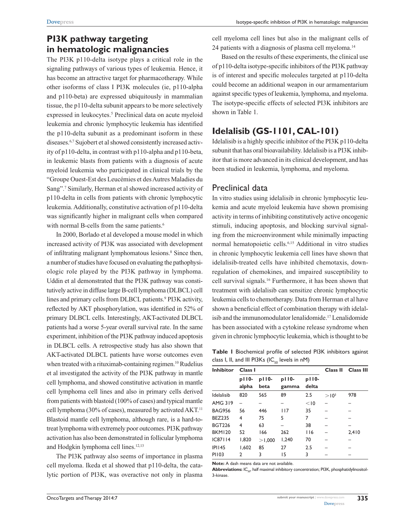# **PI3K pathway targeting in hematologic malignancies**

The PI3K p110-delta isotype plays a critical role in the signaling pathways of various types of leukemia. Hence, it has become an attractive target for pharmacotherapy. While other isoforms of class I PI3K molecules (ie, p110-alpha and p110-beta) are expressed ubiquitously in mammalian tissue, the p110-delta subunit appears to be more selectively expressed in leukocytes.<sup>5</sup> Preclinical data on acute myeloid leukemia and chronic lymphocytic leukemia has identified the p110-delta subunit as a predominant isoform in these diseases.6,7 Sujobert et al showed consistently increased activity of p110-delta, in contrast with p110-alpha and p110-beta, in leukemic blasts from patients with a diagnosis of acute myeloid leukemia who participated in clinical trials by the "Groupe Ouest-Est des Leucémies et des Autres Maladies du Sang".7 Similarly, Herman et al showed increased activity of p110-delta in cells from patients with chronic lymphocytic leukemia. Additionally, constitutive activation of p110-delta was significantly higher in malignant cells when compared with normal B-cells from the same patients.<sup>6</sup>

In 2000, Borlado et al developed a mouse model in which increased activity of PI3K was associated with development of infiltrating malignant lymphomatous lesions.<sup>8</sup> Since then, a number of studies have focused on evaluating the pathophysiologic role played by the PI3K pathway in lymphoma. Uddin et al demonstrated that the PI3K pathway was constitutively active in diffuse large B-cell lymphoma (DLBCL) cell lines and primary cells from DLBCL patients.<sup>9</sup> PI3K activity, reflected by AKT phosphorylation, was identified in 52% of primary DLBCL cells. Interestingly, AKT-activated DLBCL patients had a worse 5-year overall survival rate. In the same experiment, inhibition of the PI3K pathway induced apoptosis in DLBCL cells. A retrospective study has also shown that AKT-activated DLBCL patients have worse outcomes even when treated with a rituximab-containing regimen.<sup>10</sup> Rudelius et al investigated the activity of the PI3K pathway in mantle cell lymphoma, and showed constitutive activation in mantle cell lymphoma cell lines and also in primary cells derived from patients with blastoid (100% of cases) and typical mantle cell lymphoma (30% of cases), measured by activated AKT.<sup>11</sup> Blastoid mantle cell lymphoma, although rare, is a hard-totreat lymphoma with extremely poor outcomes. PI3K pathway activation has also been demonstrated in follicular lymphoma and Hodgkin lymphoma cell lines.12,13

The PI3K pathway also seems of importance in plasma cell myeloma. Ikeda et al showed that p110-delta, the catalytic portion of PI3K, was overactive not only in plasma

cell myeloma cell lines but also in the malignant cells of 24 patients with a diagnosis of plasma cell myeloma.14

Based on the results of these experiments, the clinical use of p110-delta isotype-specific inhibitors of the PI3K pathway is of interest and specific molecules targeted at p110-delta could become an additional weapon in our armamentarium against specific types of leukemia, lymphoma, and myeloma. The isotype-specific effects of selected PI3K inhibitors are shown in Table 1.

# **Idelalisib (GS-1101, CAL-101)**

Idelalisib is a highly specific inhibitor of the PI3K p110-delta subunit that has oral bioavailability. Idelalisib is a PI3K inhibitor that is more advanced in its clinical development, and has been studied in leukemia, lymphoma, and myeloma.

## Preclinical data

In vitro studies using idelalisib in chronic lymphocytic leukemia and acute myeloid leukemia have shown promising activity in terms of inhibiting constitutively active oncogenic stimuli, inducing apoptosis, and blocking survival signaling from the microenvironment while minimally impacting normal hematopoietic cells.<sup>6,15</sup> Additional in vitro studies in chronic lymphocytic leukemia cell lines have shown that idelalisib-treated cells have inhibited chemotaxis, downregulation of chemokines, and impaired susceptibility to cell survival signals.16 Furthermore, it has been shown that treatment with idelalisib can sensitize chronic lymphocytic leukemia cells to chemotherapy. Data from Herman et al have shown a beneficial effect of combination therapy with idelalisib and the immunomodulator lenalidomide.<sup>17</sup> Lenalidomide has been associated with a cytokine release syndrome when given in chronic lymphocytic leukemia, which is thought to be

**Table 1** Biochemical profile of selected PI3K inhibitors against class I, II, and III PI3Ks (IC $_{50}$  levels in nM)

| <b>Inhibitor</b> | Class I        | <b>JU</b>     | <b>Class II</b> | <b>Class III</b> |                   |       |
|------------------|----------------|---------------|-----------------|------------------|-------------------|-------|
|                  | p110-<br>alpha | p110-<br>beta | p110-<br>gamma  | p110-<br>delta   |                   |       |
| Idelalisib       | 820            | 565           | 89              | 2.5              | > 10 <sup>3</sup> | 978   |
| <b>AMG 319</b>   |                |               |                 | $<$ 10           |                   |       |
| <b>BAG956</b>    | 56             | 446           | 117             | 35               |                   |       |
| <b>BEZ235</b>    | 4              | 75            | 5               | 7                |                   |       |
| <b>BGT226</b>    | 4              | 63            |                 | 38               |                   |       |
| <b>BKM120</b>    | 52             | 166           | 262             | 116              |                   | 2,410 |
| <b>IC87114</b>   | 1,820          | >1,000        | 1,240           | 70               |                   |       |
| <b>IPI145</b>    | 1.602          | 85            | 27              | 2.5              |                   |       |
| PI103            | 2              | 3             | 15              | 3                |                   |       |

**Note:** A dash means data are not available.

**Abbreviations:** IC<sub>50</sub>, half maximal inhibitory concentration; PI3K, phosphatidylinositol-3-kinase.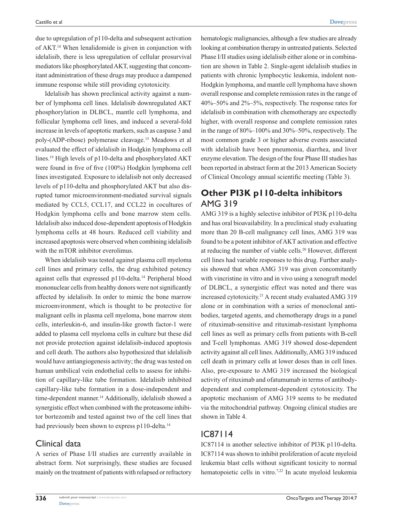due to upregulation of p110-delta and subsequent activation of AKT. 18 When lenalidomide is given in conjunction with idelalisib, there is less upregulation of cellular prosurvival mediators like phosphorylated AKT, suggesting that concomitant administration of these drugs may produce a dampened immune response while still providing cytotoxicity.

Idelalisib has shown preclinical activity against a number of lymphoma cell lines. Idelalisib downregulated AKT phosphorylation in DLBCL, mantle cell lymphoma, and follicular lymphoma cell lines, and induced a several-fold increase in levels of apoptotic markers, such as caspase 3 and poly-(ADP-ribose) polymerase cleavage.15 Meadows et al evaluated the effect of idelalisib in Hodgkin lymphoma cell lines.19 High levels of p110-delta and phosphorylated AKT were found in five of five (100%) Hodgkin lymphoma cell lines investigated. Exposure to idelalisib not only decreased levels of p110-delta and phosphorylated AKT but also disrupted tumor microenvironment-mediated survival signals mediated by CCL5, CCL17, and CCL22 in cocultures of Hodgkin lymphoma cells and bone marrow stem cells. Idelalisib also induced dose-dependent apoptosis of Hodgkin lymphoma cells at 48 hours. Reduced cell viability and increased apoptosis were observed when combining idelalisib with the mTOR inhibitor everolimus.

When idelalisib was tested against plasma cell myeloma cell lines and primary cells, the drug exhibited potency against cells that expressed p110-delta.14 Peripheral blood mononuclear cells from healthy donors were not significantly affected by idelalisib. In order to mimic the bone marrow microenvironment, which is thought to be protective for malignant cells in plasma cell myeloma, bone marrow stem cells, interleukin-6, and insulin-like growth factor-1 were added to plasma cell myeloma cells in culture but these did not provide protection against idelalisib-induced apoptosis and cell death. The authors also hypothesized that idelalisib would have antiangiogenesis activity; the drug was tested on human umbilical vein endothelial cells to assess for inhibition of capillary-like tube formation. Idelalisib inhibited capillary-like tube formation in a dose-independent and time-dependent manner.<sup>14</sup> Additionally, idelalisib showed a synergistic effect when combined with the proteasome inhibitor bortezomib and tested against two of the cell lines that had previously been shown to express p110-delta.<sup>14</sup>

#### Clinical data

A series of Phase I/II studies are currently available in abstract form. Not surprisingly, these studies are focused mainly on the treatment of patients with relapsed or refractory hematologic malignancies, although a few studies are already looking at combination therapy in untreated patients. Selected Phase I/II studies using idelalisib either alone or in combination are shown in Table 2. Single-agent idelalisib studies in patients with chronic lymphocytic leukemia, indolent non-Hodgkin lymphoma, and mantle cell lymphoma have shown overall response and complete remission rates in the range of 40%–50% and 2%–5%, respectively. The response rates for idelalisib in combination with chemotherapy are expectedly higher, with overall response and complete remission rates in the range of 80%–100% and 30%–50%, respectively. The most common grade 3 or higher adverse events associated with idelalisib have been pneumonia, diarrhea, and liver enzyme elevation. The design of the four Phase III studies has been reported in abstract form at the 2013 American Society of Clinical Oncology annual scientific meeting (Table 3).

## **Other PI3K p110-delta inhibitors** AMG 319

AMG 319 is a highly selective inhibitor of PI3K p110-delta and has oral bioavailability. In a preclinical study evaluating more than 20 B-cell malignancy cell lines, AMG 319 was found to be a potent inhibitor of AKT activation and effective at reducing the number of viable cells.20 However, different cell lines had variable responses to this drug. Further analysis showed that when AMG 319 was given concomitantly with vincristine in vitro and in vivo using a xenograft model of DLBCL, a synergistic effect was noted and there was increased cytotoxicity.21 A recent study evaluated AMG 319 alone or in combination with a series of monoclonal antibodies, targeted agents, and chemotherapy drugs in a panel of rituximab-sensitive and rituximab-resistant lymphoma cell lines as well as primary cells from patients with B-cell and T-cell lymphomas. AMG 319 showed dose-dependent activity against all cell lines. Additionally, AMG 319 induced cell death in primary cells at lower doses than in cell lines. Also, pre-exposure to AMG 319 increased the biological activity of rituximab and ofatumumab in terms of antibodydependent and complement-dependent cytotoxicity. The apoptotic mechanism of AMG 319 seems to be mediated via the mitochondrial pathway. Ongoing clinical studies are shown in Table 4.

#### IC87114

IC87114 is another selective inhibitor of PI3K p110-delta. IC87114 was shown to inhibit proliferation of acute myeloid leukemia blast cells without significant toxicity to normal hematopoietic cells in vitro.<sup>7,22</sup> In acute myeloid leukemia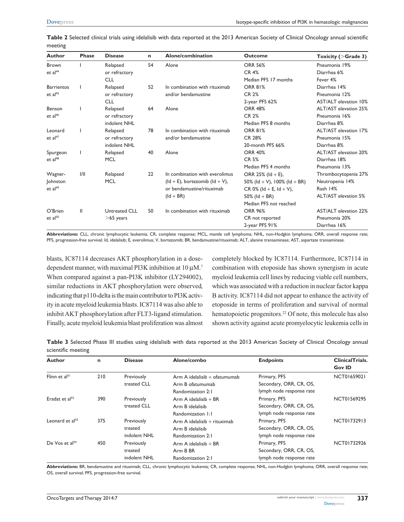| <b>Author</b>       | <b>Phase</b> | <b>Disease</b>       | n  | Alone/combination                    | <b>Outcome</b>                                                   | Toxicity (>Grade 3)          |
|---------------------|--------------|----------------------|----|--------------------------------------|------------------------------------------------------------------|------------------------------|
| <b>Brown</b>        |              | Relapsed             | 54 | Alone                                | <b>ORR 56%</b>                                                   | Pneumonia 19%                |
| et al <sup>44</sup> |              | or refractory        |    |                                      | <b>CR 4%</b>                                                     | Diarrhea 6%                  |
|                     |              | <b>CLL</b>           |    |                                      | Median PFS 17 months                                             | Fever 4%                     |
| <b>Barrientos</b>   |              | Relapsed             | 52 | In combination with rituximab        | <b>ORR 81%</b>                                                   | Diarrhea 14%                 |
| et al <sup>45</sup> |              | or refractory        |    | and/or bendamustine                  | <b>CR 2%</b>                                                     | Pneumonia 12%                |
|                     |              | <b>CLL</b>           |    |                                      | 2-year PFS 62%                                                   | AST/ALT elevation 10%        |
| Benson              |              | Relapsed             | 64 | Alone                                | <b>ORR 48%</b>                                                   | ALT/AST elevation 25%        |
| et al <sup>46</sup> |              | or refractory        |    |                                      | <b>CR 2%</b>                                                     | Pneumonia 16%                |
|                     |              | indolent NHL         |    |                                      | Median PFS 8 months                                              | Diarrhea 8%                  |
| Leonard             |              | Relapsed             | 78 | In combination with rituximab        | <b>ORR 81%</b>                                                   | ALT/AST elevation 17%        |
| et al <sup>47</sup> |              | or refractory        |    | and/or bendamustine                  | CR 28%                                                           | Pneumonia 15%                |
|                     |              | indolent NHL         |    |                                      | 20-month PFS 66%                                                 | Diarrhea 8%                  |
| Spurgeon            |              | Relapsed             | 40 | Alone                                | <b>ORR 40%</b>                                                   | ALT/AST elevation 20%        |
| et $al^{48}$        |              | <b>MCL</b>           |    |                                      | <b>CR 5%</b>                                                     | Diarrhea 18%                 |
|                     |              |                      |    |                                      | Median PFS 4 months                                              | Pneumonia 13%                |
| Wagner-             | 1/11         | Relapsed             | 22 | In combination with everolimus       | ORR 25% ( $Id + E$ ),                                            | Thrombocytopenia 27%         |
| Johnston            |              | <b>MCL</b>           |    | $(dd + E)$ , bortezomib $(dd + V)$ , | 50% ( $\text{Id} + \text{V}$ ), 100% ( $\text{Id} + \text{BR}$ ) | Neutropenia 14%              |
| et al <sup>49</sup> |              |                      |    | or bendamustine/rituximab            | CR 0% ( $\text{Id} + \text{E}$ , $\text{Id} + \text{V}$ ),       | Rash 14%                     |
|                     |              |                      |    | $(\mathsf{Id} + \mathsf{BR})$        | 50% ( $\mathsf{Id} + \mathsf{BR}$ )                              | ALT/AST elevation 5%         |
|                     |              |                      |    |                                      | Median PFS not reached                                           |                              |
| O'Brien             | Ш            | <b>Untreated CLL</b> | 50 | In combination with rituximab        | <b>ORR 96%</b>                                                   | <b>AST/ALT</b> elevation 22% |
| et al <sup>50</sup> |              | $>65$ years          |    |                                      | CR not reported                                                  | Pneumonia 20%                |
|                     |              |                      |    |                                      | 2-year PFS 91%                                                   | Diarrhea 16%                 |

**Table 2** Selected clinical trials using idelalisib with data reported at the 2013 American Society of Clinical Oncology annual scientific meeting

**Abbreviations:** CLL, chronic lymphocytic leukemia; CR, complete response; MCL, mantle cell lymphoma; NHL, non-Hodgkin lymphoma; ORR, overall response rate; PFS, progression-free survival; Id, idelalisib; E, everolimus; V, bortezomib; BR, bendamustine/rituximab; ALT, alanine transaminase; AST, aspartate transaminase.

blasts, IC87114 decreases AKT phosphorylation in a dosedependent manner, with maximal PI3K inhibition at  $10 \mu M$ .<sup>7</sup> When compared against a pan-PI3K inhibitor (LY294002), similar reductions in AKT phosphorylation were observed, indicating that p110-delta is the main contributor to PI3K activity in acute myeloid leukemia blasts. IC87114 was also able to inhibit AKT phosphorylation after FLT3-ligand stimulation. Finally, acute myeloid leukemia blast proliferation was almost completely blocked by IC87114. Furthermore, IC87114 in combination with etoposide has shown synergism in acute myeloid leukemia cell lines by reducing viable cell numbers, which was associated with a reduction in nuclear factor kappa B activity. IC87114 did not appear to enhance the activity of etoposide in terms of proliferation and survival of normal hematopoietic progenitors.<sup>22</sup> Of note, this molecule has also shown activity against acute promyelocytic leukemia cells in

|                    |  |  |  |  |  | Table 3 Selected Phase III studies using idelalisib with data reported at the 2013 American Society of Clinical Oncology annual |  |  |  |
|--------------------|--|--|--|--|--|---------------------------------------------------------------------------------------------------------------------------------|--|--|--|
| scientific meeting |  |  |  |  |  |                                                                                                                                 |  |  |  |

| <b>Author</b>              | n   | <b>Disease</b>                        | Alone/combo                                                             | <b>Endpoints</b>                                                    | ClinicalTrials.<br><b>Gov ID</b> |
|----------------------------|-----|---------------------------------------|-------------------------------------------------------------------------|---------------------------------------------------------------------|----------------------------------|
| Flinn et $al^{51}$         | 210 | Previously<br>treated CLL             | Arm A idelalisib + ofatumumab<br>Arm B ofatumumab<br>Randomization 2:1  | Primary, PFS<br>Secondary, ORR, CR, OS,<br>lymph node response rate | NCT01659021                      |
| Eradat et al <sup>52</sup> | 390 | Previously<br>treated CLL             | Arm A idelalisib $+$ BR<br>Arm B idelalisib<br>Randomization 1:1        | Primary, PFS<br>Secondary, ORR, CR, OS,<br>lymph node response rate | NCT01569295                      |
| Leonard et $al53$          | 375 | Previously<br>treated<br>indolent NHL | Arm A idelalisib $+$ rituximab<br>Arm B idelalisib<br>Randomization 2:1 | Primary, PFS<br>Secondary, ORR, CR, OS,<br>lymph node response rate | NCT01732913                      |
| De Vos et al <sup>54</sup> | 450 | Previously<br>treated<br>indolent NHL | Arm A idelalisib $+$ BR<br>Arm B BR<br>Randomization 2:1                | Primary, PFS<br>Secondary, ORR, CR, OS,<br>lymph node response rate | NCT01732926                      |

**Abbreviations:** BR, bendamustine and rituximab; CLL, chronic lymphocytic leukemia; CR, complete response; NHL, non-Hodgkin lymphoma; ORR, overall response rate; OS, overall survival; PFS, progression-free survival.

**337**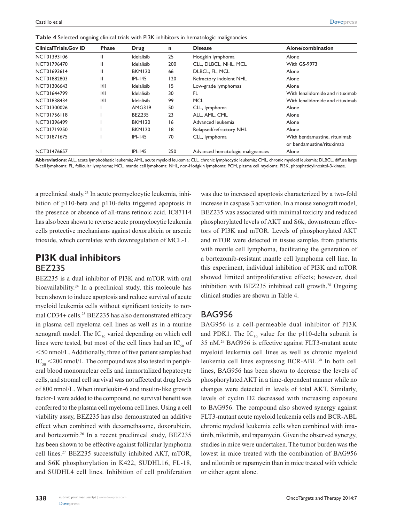**Table 4** Selected ongoing clinical trials with PI3K inhibitors in hematologic malignancies

| <b>Clinical Trials. Gov ID</b> | <b>Phase</b> | Drug              | n   | <b>Disease</b>                    | Alone/combination                                         |
|--------------------------------|--------------|-------------------|-----|-----------------------------------|-----------------------------------------------------------|
| NCT01393106                    | Ш            | <b>Idelalisib</b> | 25  | Hodgkin lymphoma                  | Alone                                                     |
| NCT01796470                    | Ш            | <b>Idelalisib</b> | 200 | CLL. DLBCL. NHL. MCL              | With GS-9973                                              |
| NCT01693614                    | Ш            | <b>BKM120</b>     | 66  | DLBCL, FL, MCL                    | Alone                                                     |
| NCT01882803                    | Ш            | IPL145            | 120 | Refractory indolent NHL           | Alone                                                     |
| NCT01306643                    | 1/11         | <b>Idelalisib</b> | 15  | Low-grade lymphomas               | Alone                                                     |
| NCT01644799                    | 1/11         | <b>Idelalisib</b> | 30  | FL.                               | With lenalidomide and rituximab                           |
| NCT01838434                    | 1/11         | Idelalisib        | 99  | <b>MCL</b>                        | With lenalidomide and rituximab                           |
| NCT01300026                    |              | <b>AMG319</b>     | 50  | CLL, lymphoma                     | Alone                                                     |
| NCT01756118                    |              | <b>BEZ235</b>     | 23  | ALL, AML, CML                     | Alone                                                     |
| NCT01396499                    |              | <b>BKM120</b>     | 16  | Advanced leukemia                 | Alone                                                     |
| NCT01719250                    |              | <b>BKM120</b>     | 8   | Relapsed/refractory NHL           | Alone                                                     |
| NCT01871675                    |              | IPL145            | 70  | CLL, lymphoma                     | With bendamustine, rituximab<br>or bendamustine/rituximab |
| NCT01476657                    |              | $IPI-145$         | 250 | Advanced hematologic malignancies | Alone                                                     |

**Abbreviations:** ALL, acute lymphoblastic leukemia; AML, acute myeloid leukemia; CLL, chronic lymphocytic leukemia; CML, chronic myeloid leukemia; DLBCL, diffuse large B-cell lymphoma; FL, follicular lymphoma; MCL, mantle cell lymphoma; NHL, non-Hodgkin lymphoma; PCM, plasma cell myeloma; PI3K, phosphatidylinositol-3-kinase.

a preclinical study.23 In acute promyelocytic leukemia, inhibition of p110-beta and p110-delta triggered apoptosis in the presence or absence of all-trans retinoic acid. IC87114 has also been shown to reverse acute promyelocytic leukemia cells protective mechanisms against doxorubicin or arsenic trioxide, which correlates with downregulation of MCL-1.

## **PI3K dual inhibitors** BEZ235

BEZ235 is a dual inhibitor of PI3K and mTOR with oral bioavailability.24 In a preclinical study, this molecule has been shown to induce apoptosis and reduce survival of acute myeloid leukemia cells without significant toxicity to normal CD34+ cells.<sup>25</sup> BEZ235 has also demonstrated efficacy in plasma cell myeloma cell lines as well as in a murine xenograft model. The  $IC_{50}$  varied depending on which cell lines were tested, but most of the cell lines had an  $IC_{50}$  of ,50 nmol/L. Additionally, three of five patient samples had  $IC_{50}$  < 200 nmol/L. The compound was also tested in peripheral blood mononuclear cells and immortalized hepatocyte cells, and stromal cell survival was not affected at drug levels of 800 nmol/L. When interleukin-6 and insulin-like growth factor-1 were added to the compound, no survival benefit was conferred to the plasma cell myeloma cell lines. Using a cell viability assay, BEZ235 has also demonstrated an additive effect when combined with dexamethasone, doxorubicin, and bortezomib.26 In a recent preclinical study, BEZ235 has been shown to be effective against follicular lymphoma cell lines.27 BEZ235 successfully inhibited AKT, mTOR, and S6K phosphorylation in K422, SUDHL16, FL-18, and SUDHL4 cell lines. Inhibition of cell proliferation

was due to increased apoptosis characterized by a two-fold increase in caspase 3 activation. In a mouse xenograft model, BEZ235 was associated with minimal toxicity and reduced phosphorylated levels of AKT and S6k, downstream effectors of PI3K and mTOR. Levels of phosphorylated AKT and mTOR were detected in tissue samples from patients with mantle cell lymphoma, facilitating the generation of a bortezomib-resistant mantle cell lymphoma cell line. In this experiment, individual inhibition of PI3K and mTOR showed limited antiproliferative effects; however, dual inhibition with BEZ235 inhibited cell growth.<sup>28</sup> Ongoing clinical studies are shown in Table 4.

#### BAG956

BAG956 is a cell-permeable dual inhibitor of PI3K and PDK1. The IC<sub>50</sub> value for the p110-delta subunit is 35 nM.29 BAG956 is effective against FLT3-mutant acute myeloid leukemia cell lines as well as chronic myeloid leukemia cell lines expressing BCR-ABL.30 In both cell lines, BAG956 has been shown to decrease the levels of phosphorylated AKT in a time-dependent manner while no changes were detected in levels of total AKT. Similarly, levels of cyclin D2 decreased with increasing exposure to BAG956. The compound also showed synergy against FLT3-mutant acute myeloid leukemia cells and BCR-ABL chronic myeloid leukemia cells when combined with imatinib, nilotinib, and rapamycin. Given the observed synergy, studies in mice were undertaken. The tumor burden was the lowest in mice treated with the combination of BAG956 and nilotinib or rapamycin than in mice treated with vehicle or either agent alone.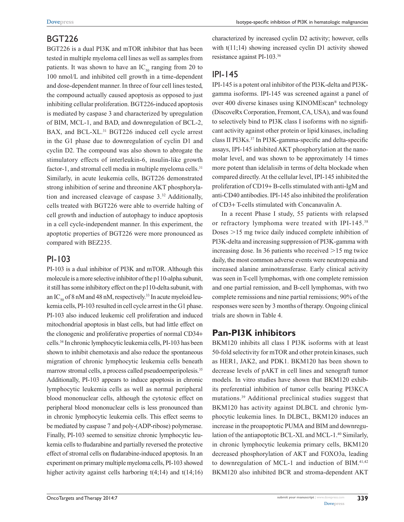# BGT226

BGT226 is a dual PI3K and mTOR inhibitor that has been tested in multiple myeloma cell lines as well as samples from patients. It was shown to have an  $IC_{50}$  ranging from 20 to 100 nmol/L and inhibited cell growth in a time-dependent and dose-dependent manner. In three of four cell lines tested, the compound actually caused apoptosis as opposed to just inhibiting cellular proliferation. BGT226-induced apoptosis is mediated by caspase 3 and characterized by upregulation of BIM, MCL-1, and BAD, and downregulation of BCL-2, BAX, and BCL-XL.<sup>31</sup> BGT226 induced cell cycle arrest in the G1 phase due to downregulation of cyclin D1 and cyclin D2. The compound was also shown to abrogate the stimulatory effects of interleukin-6, insulin-like growth factor-1, and stromal cell media in multiple myeloma cells.<sup>31</sup> Similarly, in acute leukemia cells, BGT226 demonstrated strong inhibition of serine and threonine AKT phosphorylation and increased cleavage of caspase 3.32 Additionally, cells treated with BGT226 were able to override halting of cell growth and induction of autophagy to induce apoptosis in a cell cycle-independent manner. In this experiment, the apoptotic properties of BGT226 were more pronounced as compared with BEZ235.

#### PI-103

PI-103 is a dual inhibitor of PI3K and mTOR. Although this molecule is a more selective inhibitor of the p110-alpha subunit, it still has some inhibitory effect on the p110-delta subunit, with an IC<sub>50</sub> of 8 nM and 48 nM, respectively.<sup>33</sup> In acute myeloid leukemia cells, PI-103 resulted in cell cycle arrest in the G1 phase. PI-103 also induced leukemic cell proliferation and induced mitochondrial apoptosis in blast cells, but had little effect on the clonogenic and proliferative properties of normal CD34+ cells.34 In chronic lymphocytic leukemia cells, PI-103 has been shown to inhibit chemotaxis and also reduce the spontaneous migration of chronic lymphocytic leukemia cells beneath marrow stromal cells, a process called pseudoemperipolesis.<sup>35</sup> Additionally, PI-103 appears to induce apoptosis in chronic lymphocytic leukemia cells as well as normal peripheral blood mononuclear cells, although the cytotoxic effect on peripheral blood mononuclear cells is less pronounced than in chronic lymphocytic leukemia cells. This effect seems to be mediated by caspase 7 and poly-(ADP-ribose) polymerase. Finally, PI-103 seemed to sensitize chronic lymphocytic leukemia cells to fludarabine and partially reversed the protective effect of stromal cells on fludarabine-induced apoptosis. In an experiment on primary multiple myeloma cells, PI-103 showed higher activity against cells harboring  $t(4;14)$  and  $t(14;16)$  characterized by increased cyclin D2 activity; however, cells with t(11;14) showing increased cyclin D1 activity showed resistance against PI-103.36

# IPI-145

IPI-145 is a potent oral inhibitor of the PI3K-delta and PI3Kgamma isoforms. IPI-145 was screened against a panel of over 400 diverse kinases using KINOMEscan® technology (DiscoveRx Corporation, Fremont, CA, USA), and was found to selectively bind to PI3K class I isoforms with no significant activity against other protein or lipid kinases, including class II PI3Ks.37 In PI3K-gamma-specific and delta-specific assays, IPI-145 inhibited AKT phosphorylation at the nanomolar level, and was shown to be approximately 14 times more potent than idelalisib in terms of delta blockade when compared directly. At the cellular level, IPI-145 inhibited the proliferation of CD19+ B-cells stimulated with anti-IgM and anti-CD40 antibodies. IPI-145 also inhibited the proliferation of CD3+ T-cells stimulated with Concanavalin A.

In a recent Phase I study, 55 patients with relapsed or refractory lymphoma were treated with IPI-145.38 Doses  $>15$  mg twice daily induced complete inhibition of PI3K-delta and increasing suppression of PI3K-gamma with increasing dose. In 36 patients who received  $>15$  mg twice daily, the most common adverse events were neutropenia and increased alanine aminotransferase. Early clinical activity was seen in T-cell lymphomas, with one complete remission and one partial remission, and B-cell lymphomas, with two complete remissions and nine partial remissions; 90% of the responses were seen by 3 months of therapy. Ongoing clinical trials are shown in Table 4.

# **Pan-PI3K inhibitors**

BKM120 inhibits all class I PI3K isoforms with at least 50-fold selectivity for mTOR and other protein kinases, such as HER1, JAK2, and PDK1. BKM120 has been shown to decrease levels of pAKT in cell lines and xenograft tumor models. In vitro studies have shown that BKM120 exhibits preferential inhibition of tumor cells bearing PI3KCA mutations.39 Additional preclinical studies suggest that BKM120 has activity against DLBCL and chronic lymphocytic leukemia lines. In DLBCL, BKM120 induces an increase in the proapoptotic PUMA and BIM and downregulation of the antiapoptotic BCL-XL and MCL-1.<sup>40</sup> Similarly, in chronic lymphocytic leukemia primary cells, BKM120 decreased phosphorylation of AKT and FOXO3a, leading to downregulation of MCL-1 and induction of BIM.<sup>41,42</sup> BKM120 also inhibited BCR and stroma-dependent AKT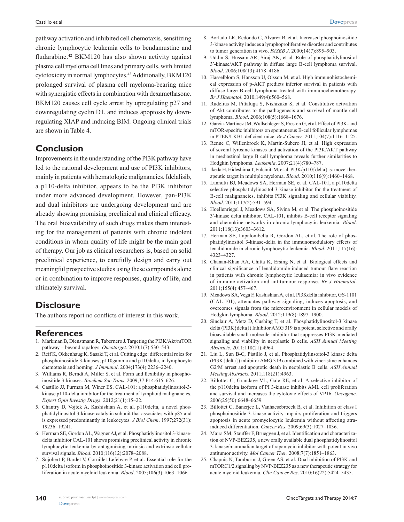pathway activation and inhibited cell chemotaxis, sensitizing chronic lymphocytic leukemia cells to bendamustine and fludarabine.<sup>42</sup> BKM120 has also shown activity against plasma cell myeloma cell lines and primary cells, with limited cytotoxicity in normal lymphocytes.<sup>43</sup> Additionally, BKM120 prolonged survival of plasma cell myeloma-bearing mice with synergistic effects in combination with dexamethasone. BKM120 causes cell cycle arrest by upregulating p27 and downregulating cyclin D1, and induces apoptosis by downregulating XIAP and inducing BIM. Ongoing clinical trials are shown in Table 4.

## **Conclusion**

Improvements in the understanding of the PI3K pathway have led to the rational development and use of PI3K inhibitors, mainly in patients with hematologic malignancies. Idelalisib, a p110-delta inhibitor, appears to be the PI3K inhibitor under more advanced development. However, pan-PI3K and dual inhibitors are undergoing development and are already showing promising preclinical and clinical efficacy. The oral bioavailability of such drugs makes them interesting for the management of patients with chronic indolent conditions in whom quality of life might be the main goal of therapy. Our job as clinical researchers is, based on solid preclinical experience, to carefully design and carry out meaningful prospective studies using these compounds alone or in combination to improve responses, quality of life, and ultimately survival.

#### **Disclosure**

The authors report no conflicts of interest in this work.

#### **References**

- 1. Markman B, Dienstmann R, Tabernero J. Targeting the PI3K/Akt/mTOR pathway – beyond rapalogs. *Oncotarget*. 2010;1(7):530–543.
- 2. Reif K, Okkenhaug K, Sasaki T, et al. Cutting edge: differential roles for phosphoinositide 3-kinases, p110gamma and p110delta, in lymphocyte chemotaxis and homing. *J Immunol*. 2004;173(4):2236–2240.
- 3. Williams R, Berndt A, Miller S, et al. Form and flexibility in phosphoinositide 3-kinases. *Biochem Soc Trans*. 2009;37 Pt 4:615–626.
- 4. Castillo JJ, Furman M, Winer ES. CAL-101: a phosphatidylinositol-3 kinase p110-delta inhibitor for the treatment of lymphoid malignancies. *Expert Opin Investig Drugs*. 2012;21(1):15–22.
- 5. Chantry D, Vojtek A, Kashishian A, et al. p110delta, a novel phosphatidylinositol 3-kinase catalytic subunit that associates with p85 and is expressed predominantly in leukocytes. *J Biol Chem*. 1997;272(31): 19236–19241.
- 6. Herman SE, Gordon AL, Wagner AJ, et al. Phosphatidylinositol 3-kinasedelta inhibitor CAL-101 shows promising preclinical activity in chronic lymphocytic leukemia by antagonizing intrinsic and extrinsic cellular survival signals. *Blood*. 2010;116(12):2078–2088.
- 7. Sujobert P, Bardet V, Cornillet-Lefebvre P, et al. Essential role for the p110delta isoform in phosphoinositide 3-kinase activation and cell proliferation in acute myeloid leukemia. *Blood*. 2005;106(3):1063–1066.
- to tumor generation in vivo. *FASEB J*. 2000;14(7):895–903. 9. Uddin S, Hussain AR, Siraj AK, et al. Role of phosphatidylinositol 3′-kinase/AKT pathway in diffuse large B-cell lymphoma survival. *Blood*. 2006;108(13):4178–4186.
- 10. Hasselblom S, Hansson U, Olsson M, et al. High immunohistochemical expression of p-AKT predicts inferior survival in patients with diffuse large B-cell lymphoma treated with immunochemotherapy. *Br J Haematol*. 2010;149(4):560–568.
- 11. Rudelius M, Pittaluga S, Nishizuka S, et al. Constitutive activation of Akt contributes to the pathogenesis and survival of mantle cell lymphoma. *Blood*. 2006;108(5):1668–1676.
- 12. Garcia-Martinez JM, Wullschleger S, Preston G, et al. Effect of PI3K- and mTOR-specific inhibitors on spontaneous B-cell follicular lymphomas in PTEN/LKB1-deficient mice. *Br J Cancer*. 2011;104(7):1116–1125.
- 13. Renne C, Willenbrock K, Martin-Subero JI, et al. High expression of several tyrosine kinases and activation of the PI3K/AKT pathway in mediastinal large B cell lymphoma reveals further similarities to Hodgkin lymphoma. *Leukemia*. 2007;21(4):780–787.
- 14. Ikeda H, Hideshima T, Fulciniti M, et al. PI3K/p110{delta} is a novel therapeutic target in multiple myeloma. *Blood*. 2010;116(9):1460–1468.
- 15. Lannutti BJ, Meadows SA, Herman SE, et al. CAL-101, a p110delta selective phosphatidylinositol-3-kinase inhibitor for the treatment of B-cell malignancies, inhibits PI3K signaling and cellular viability. *Blood*. 2011;117(2):591–594.
- 16. Hoellenriegel J, Meadows SA, Sivina M, et al. The phosphoinositide 3′-kinase delta inhibitor, CAL-101, inhibits B-cell receptor signaling and chemokine networks in chronic lymphocytic leukemia. *Blood*. 2011;118(13):3603–3612.
- 17. Herman SE, Lapalombella R, Gordon AL, et al. The role of phosphatidylinositol 3-kinase-delta in the immunomodulatory effects of lenalidomide in chronic lymphocytic leukemia. *Blood*. 2011;117(16): 4323–4327.
- 18. Chanan-Khan AA, Chitta K, Ersing N, et al. Biological effects and clinical significance of lenalidomide-induced tumour flare reaction in patients with chronic lymphocytic leukaemia: in vivo evidence of immune activation and antitumour response. *Br J Haematol*. 2011;155(4):457–467.
- 19. Meadows SA, Vega F, Kashishian A, et al. PI3Kdelta inhibitor, GS-1101 (CAL-101), attenuates pathway signaling, induces apoptosis, and overcomes signals from the microenvironment in cellular models of Hodgkin lymphoma. *Blood*. 2012;119(8):1897–1900.
- 20. Sinclair A, Metz D, Cushing T, et al. Phosphatidylinositol-3 kinase delta (PI3K{delta}) Inhibitor AMG 319 is a potent, selective and orally bioavailable small molecule inhibitor that suppresses PI3K-mediated signaling and viability in neoplastic B cells. *ASH Annual Meeting Abstracts*. 2011;118(21):4964.
- 21. Liu L, Sun B-C, Pistillo J, et al. Phosphatidylinsoitol-3 kinase delta (PI3K{delta}) inhibitor AMG 319 combined with vincristine enhances G2/M arrest and apoptotic death in neoplastic B cells. *ASH Annual Meeting Abstracts*. 2011;118(21):4963.
- 22. Billottet C, Grandage VL, Gale RE, et al. A selective inhibitor of the p110delta isoform of PI 3-kinase inhibits AML cell proliferation and survival and increases the cytotoxic effects of VP16. *Oncogene*. 2006;25(50):6648–6659.
- 23. Billottet C, Banerjee L, Vanhaesebroeck B, et al. Inhibition of class I phosphoinositide 3-kinase activity impairs proliferation and triggers apoptosis in acute promyelocytic leukemia without affecting atrainduced differentiation. *Cancer Res*. 2009;69(3):1027–1036.
- 24. Maira SM, Stauffer F, Brueggen J, et al. Identification and characterization of NVP-BEZ235, a new orally available dual phosphatidylinositol 3-kinase/mammalian target of rapamycin inhibitor with potent in vivo antitumor activity. *Mol Cancer Ther*. 2008;7(7):1851–1863.
- 25. Chapuis N, Tamburini J, Green AS, et al. Dual inhibition of PI3K and mTORC1/2 signaling by NVP-BEZ235 as a new therapeutic strategy for acute myeloid leukemia. *Clin Cancer Res*. 2010;16(22):5424–5435.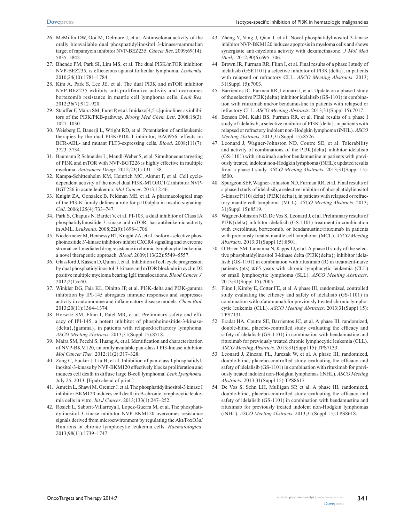- 26. McMillin DW, Ooi M, Delmore J, et al. Antimyeloma activity of the orally bioavailable dual phosphatidylinositol 3-kinase/mammalian target of rapamycin inhibitor NVP-BEZ235. *Cancer Res*. 2009;69(14): 5835–5842.
- 27. Bhende PM, Park SI, Lim MS, et al. The dual PI3K/mTOR inhibitor, NVP-BEZ235, is efficacious against follicular lymphoma. *Leukemia*. 2010;24(10):1781–1784.
- 28. Kim A, Park S, Lee JE, et al. The dual PI3K and mTOR inhibitor NVP-BEZ235 exhibits anti-proliferative activity and overcomes bortezomib resistance in mantle cell lymphoma cells. *Leuk Res*. 2012;36(7):912–920.
- 29. Stauffer F, Maira SM, Furet P, et al. Imidazo[4,5-c]quinolines as inhibitors of the PI3K/PKB-pathway. *Bioorg Med Chem Lett*. 2008;18(3): 1027–1030.
- 30. Weisberg E, Banerji L, Wright RD, et al. Potentiation of antileukemic therapies by the dual PI3K/PDK-1 inhibitor, BAG956: effects on BCR-ABL- and mutant FLT3-expressing cells. *Blood*. 2008;111(7): 3723–3734.
- 31. Baumann P, Schneider L, Mandl-Weber S, et al. Simultaneous targeting of PI3K and mTOR with NVP-BGT226 is highly effective in multiple myeloma. *Anticancer Drugs*. 2012;23(1):131–138.
- 32. Kampa-Schittenhelm KM, Heinrich MC, Akmut F, et al. Cell cycledependent activity of the novel dual PI3K-MTORC1/2 inhibitor NVP-BGT226 in acute leukemia. *Mol Cancer*. 2013;12:46.
- 33. Knight ZA, Gonzalez B, Feldman ME, et al. A pharmacological map of the PI3-K family defines a role for p110alpha in insulin signaling. *Cell*. 2006;125(4):733–747.
- 34. Park S, Chapuis N, Bardet V, et al. PI-103, a dual inhibitor of Class IA phosphatidylinositide 3-kinase and mTOR, has antileukemic activity in AML. *Leukemia*. 2008;22(9):1698–1706.
- 35. Niedermeier M, Hennessy BT, Knight ZA, et al. Isoform-selective phosphoinositide 3′-kinase inhibitors inhibit CXCR4 signaling and overcome stromal cell-mediated drug resistance in chronic lymphocytic leukemia: a novel therapeutic approach. *Blood*. 2009;113(22):5549–5557.
- 36. Glassford J, Kassen D, Quinn J, et al. Inhibition of cell cycle progression by dual phosphatidylinositol-3-kinase and mTOR blockade in cyclin D2 positive multiple myeloma bearing IgH translocations. *Blood Cancer J*. 2012;2(1):e50.
- 37. Winkler DG, Faia KL, Dinitto JP, et al. PI3K-delta and PI3K-gamma inhibition by IPI-145 abrogates immune responses and suppresses activity in autoimmune and inflammatory disease models. *Chem Biol*. 2013;20(11):1364–1374.
- 38. Horwitz SM, Flinn I, Patel MR, et al. Preliminary safety and efficacy of IPI-145, a potent inhibitor of phosphoinositide-3-kinase- {delta},{gamma}, in patients with relapsed/refractory lymphoma. *ASCO Meeting Abstracts*. 2013;31(Suppl 15):8518.
- 39. Maira SM, Pecchi S, Huang A, et al. Identification and characterization of NVP-BKM120, an orally available pan-class I PI3-kinase inhibitor. *Mol Cancer Ther*. 2012;11(2):317–328.
- 40. Zang C, Eucker J, Liu H, et al. Inhibition of pan-class I phosphatidylinositol-3-kinase by NVP-BKM120 effectively blocks proliferation and induces cell death in diffuse large B-cell lymphoma. *Leuk Lymphoma*. July 25, 2013. [Epub ahead of print.]
- 41. Amrein L, Shawi M, Grenier J, et al. The phosphatidylinositol-3 kinase I inhibitor BKM120 induces cell death in B-chronic lymphocytic leukemia cells in vitro. *Int J Cancer*. 2013;133(1):247–252.
- 42. Rosich L, Saborit-Villarroya I, Lopez-Guerra M, et al. The phosphatidylinositol-3-kinase inhibitor NVP-BKM120 overcomes resistance signals derived from microenvironment by regulating the Akt/FoxO3a/ Bim axis in chronic lymphocytic leukemia cells. *Haematologica*. 2013;98(11):1739–1747.
- 43. Zheng Y, Yang J, Qian J, et al. Novel phosphatidylinositol 3-kinase inhibitor NVP-BKM120 induces apoptosis in myeloma cells and shows synergistic anti-myeloma activity with dexamethasone. *J Mol Med (Berl)*. 2012;90(6):695–706.
- 44. Brown JR, Furman RR, Flinn I, et al. Final results of a phase I study of idelalisib (GSE1101) a selective inhibitor of  $PI3K$ {delta}, in patients with relapsed or refractory CLL. *ASCO Meeting Abstracts*. 2013; 31(Suppl 15):7003.
- 45. Barrientos JC, Furman RR, Leonard J, et al. Update on a phase I study of the selective PI3K{delta} inhibitor idelalisib (GS-1101) in combination with rituximab and/or bendamustine in patients with relapsed or refractory CLL. *ASCO Meeting Abstracts*. 2013;31(Suppl 15):7017.
- 46. Benson DM, Kahl BS, Furman RR, et al. Final results of a phase I study of idelalisib, a selective inhibitor of PI3K{delta}, in patients with relapsed or refractory indolent non-Hodgkin lymphoma (iNHL). *ASCO Meeting Abstracts*. 2013;31(Suppl 15):8526.
- 47. Leonard J, Wagner-Johnston ND, Coutre SE, et al. Tolerability and activity of combinations of the PI3K{delta} inhibitor idelalisib (GS-1101) with rituximab and/or bendamustine in patients with previously treated, indolent non-Hodgkin lymphoma (iNHL): updated results from a phase I study. *ASCO Meeting Abstracts*. 2013;31(Suppl 15): 8500.
- 48. Spurgeon SEF, Wagner-Johnston ND, Furman RR, et al. Final results of a phase I study of idelalisib, a selective inhibitor of phosphatidylinositol 3-kinase P110{delta} (PI3K{delta}), in patients with relapsed or refractory mantle cell lymphoma (MCL). *ASCO Meeting Abstracts*. 2013; 31(Suppl 15):8519.
- 49. Wagner-Johnston ND, De Vos S, Leonard J, et al. Preliminary results of PI3K{delta} inhibitor idelalisib (GS-1101) treatment in combination with everolimus, bortezomib, or bendamustine/rituximab in patients with previously treated mantle cell lymphoma (MCL). *ASCO Meeting Abstracts*. 2013;31(Suppl 15):8501.
- 50. O'Brien SM, Lamanna N, Kipps TJ, et al. A phase II study of the selective phosphatidylinositol 3-kinase delta (PI3K{delta}) inhibitor idelalisib (GS-1101) in combination with rituximab (R) in treatment-naive patients (pts)  $\geq 65$  years with chronic lymphocytic leukemia (CLL) or small lymphocytic lymphoma (SLL). *ASCO Meeting Abstracts*. 2013;31(Suppl 15):7005.
- 51. Flinn I, Kimby E, Cotter FE, et al. A phase III, randomized, controlled study evaluating the efficacy and safety of idelalisib (GS-1101) in combination with ofatumumab for previously treated chronic lymphocytic leukemia (CLL). *ASCO Meeting Abstracts*. 2013;31(Suppl 15): TPS7131.
- 52. Eradat HA, Coutre SE, Barrientos JC, et al. A phase III, randomized, double-blind, placebo-controlled study evaluating the efficacy and safety of idelalisib (GS-1101) in combination with bendamustine and rituximab for previously treated chronic lymphocytic leukemia (CLL). *ASCO Meeting Abstracts*. 2013;31(Suppl 15):TPS7133.
- 53. Leonard J, Zinzani PL, Jurczak W, et al. A phase III, randomized, double-blind, placebo-controlled study evaluating the efficacy and safety of idelalisib (GS-1101) in combination with rituximab for previously treated indolent non-Hodgkin lymphomas (iNHL). *ASCO Meeting Abstracts*. 2013;31(Suppl 15):TPS8617.
- 54. De Vos S, Sehn LH, Mulligan SP, et al. A phase III, randomized, double-blind, placebo-controlled study evaluating the efficacy and safety of idelalisib (GS-1101) in combination with bendamustine and rituximab for previously treated indolent non-Hodgkin lymphomas (iNHL). *ASCO Meeting Abstracts*. 2013;31(Suppl 15):TPS8618.